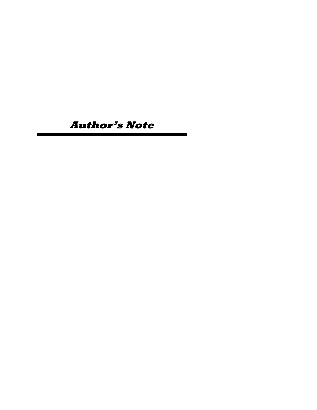**Author's Note**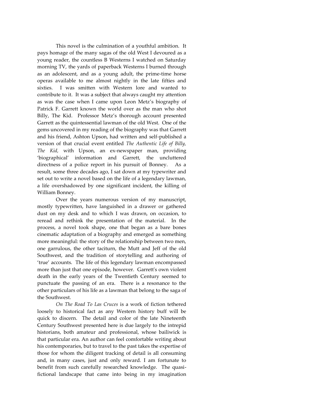This novel is the culmination of a youthful ambition. It pays homage of the many sagas of the old West I devoured as a young reader, the countless B Westerns I watched on Saturday morning TV, the yards of paperback Westerns I burned through as an adolescent, and as a young adult, the prime-time horse operas available to me almost nightly in the late fifties and sixties. I was smitten with Western lore and wanted to contribute to it. It was a subject that always caught my attention as was the case when I came upon Leon Metz's biography of Patrick F. Garrett known the world over as the man who shot Billy, The Kid. Professor Metz's thorough account presented Garrett as the quintessential lawman of the old West. One of the gems uncovered in my reading of the biography was that Garrett and his friend, Ashton Upson, had written and self-published a version of that crucial event entitled *The Authentic Life of Billy, The Kid,* with Upson, an ex-newspaper man, providing 'biographical' information and Garrett, the uncluttered directness of a police report in his pursuit of Bonney. As a result, some three decades ago, I sat down at my typewriter and set out to write a novel based on the life of a legendary lawman, a life overshadowed by one significant incident, the killing of William Bonney.

Over the years numerous version of my manuscript, mostly typewritten, have languished in a drawer or gathered dust on my desk and to which I was drawn, on occasion, to reread and rethink the presentation of the material. In the process, a novel took shape, one that began as a bare bones cinematic adaptation of a biography and emerged as something more meaningful: the story of the relationship between two men, one garrulous, the other taciturn, the Mutt and Jeff of the old Southwest, and the tradition of storytelling and authoring of 'true' accounts. The life of this legendary lawman encompassed more than just that one episode, however. Garrett's own violent death in the early years of the Twentieth Century seemed to punctuate the passing of an era. There is a resonance to the other particulars of his life as a lawman that belong to the saga of the Southwest.

*On The Road To Las Cruces* is a work of fiction tethered loosely to historical fact as any Western history buff will be quick to discern. The detail and color of the late Nineteenth Century Southwest presented here is due largely to the intrepid historians, both amateur and professional, whose bailiwick is that particular era. An author can feel comfortable writing about his contemporaries, but to travel to the past takes the expertise of those for whom the diligent tracking of detail is all consuming and, in many cases, just and only reward. I am fortunate to benefit from such carefully researched knowledge. The quasifictional landscape that came into being in my imagination